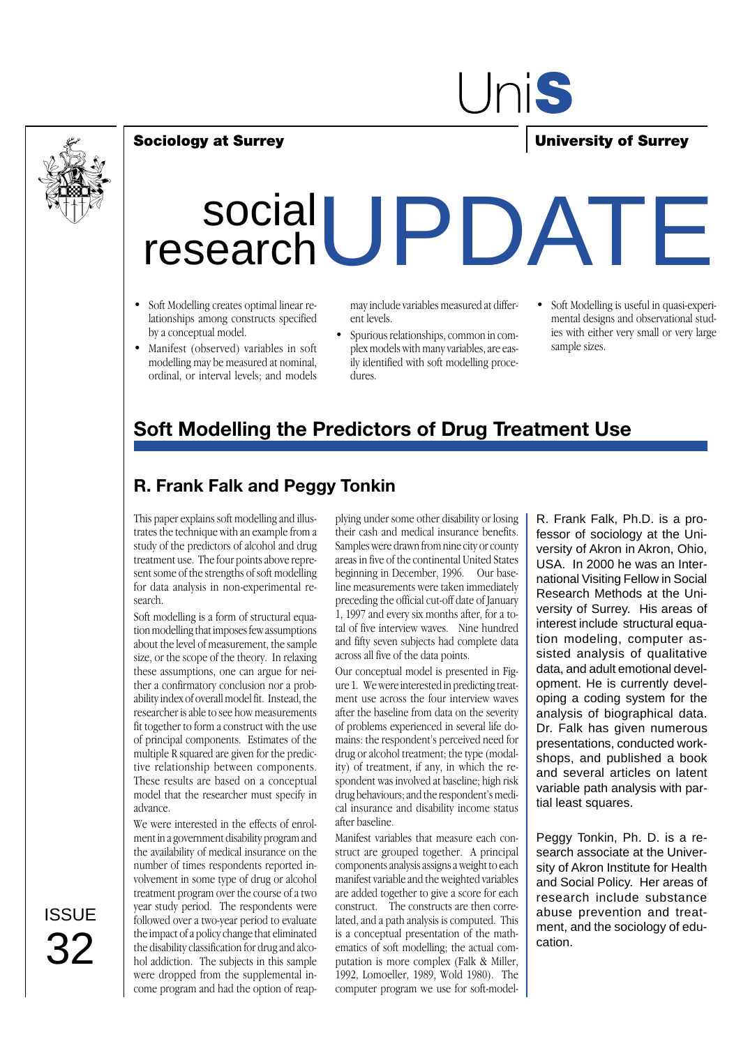

# UniS

### **Sociology at Surrey University of Surrey**

# social researchUPDATE

- Soft Modelling creates optimal linear relationships among constructs specified by a conceptual model.
- Manifest (observed) variables in soft modelling may be measured at nominal, ordinal, or interval levels; and models

may include variables measured at different levels.

- Spurious relationships, common in complex models with many variables, are easily identified with soft modelling procedures.
- Soft Modelling is useful in quasi-experimental designs and observational studies with either very small or very large sample sizes.

## **Soft Modelling the Predictors of Drug Treatment Use**

### **R. Frank Falk and Peggy Tonkin**

This paper explains soft modelling and illustrates the technique with an example from a study of the predictors of alcohol and drug treatment use. The four points above represent some of the strengths of soft modelling for data analysis in non-experimental research.

Soft modelling is a form of structural equation modelling that imposes few assumptions about the level of measurement, the sample size, or the scope of the theory. In relaxing these assumptions, one can argue for neither a confirmatory conclusion nor a probability index of overall model fit. Instead, the researcher is able to see how measurements fit together to form a construct with the use of principal components. Estimates of the multiple R squared are given for the predictive relationship between components. These results are based on a conceptual model that the researcher must specify in advance.

We were interested in the effects of enrolment in a government disability program and the availability of medical insurance on the number of times respondents reported involvement in some type of drug or alcohol treatment program over the course of a two year study period. The respondents were followed over a two-year period to evaluate the impact of a policy change that eliminated the disability classification for drug and alcohol addiction. The subjects in this sample were dropped from the supplemental income program and had the option of reap-

plying under some other disability or losing their cash and medical insurance benefits. Samples were drawn from nine city or county areas in five of the continental United States beginning in December, 1996. Our baseline measurements were taken immediately preceding the official cut-off date of January 1, 1997 and every six months after, for a total of five interview waves. Nine hundred and fifty seven subjects had complete data across all five of the data points.

Our conceptual model is presented in Figure 1. We were interested in predicting treatment use across the four interview waves after the baseline from data on the severity of problems experienced in several life domains: the respondent's perceived need for drug or alcohol treatment; the type (modality) of treatment, if any, in which the respondent was involved at baseline; high risk drug behaviours; and the respondent's medical insurance and disability income status after baseline.

Manifest variables that measure each construct are grouped together. A principal components analysis assigns a weight to each manifest variable and the weighted variables are added together to give a score for each construct. The constructs are then correlated, and a path analysis is computed. This is a conceptual presentation of the mathematics of soft modelling; the actual computation is more complex (Falk & Miller, 1992, Lomoeller, 1989, Wold 1980). The computer program we use for soft-modelR. Frank Falk, Ph.D. is a professor of sociology at the University of Akron in Akron, Ohio, USA. In 2000 he was an International Visiting Fellow in Social Research Methods at the University of Surrey. His areas of interest include structural equation modeling, computer assisted analysis of qualitative data, and adult emotional development. He is currently developing a coding system for the analysis of biographical data. Dr. Falk has given numerous presentations, conducted workshops, and published a book and several articles on latent variable path analysis with partial least squares.

Peggy Tonkin, Ph. D. is a research associate at the University of Akron Institute for Health and Social Policy. Her areas of research include substance abuse prevention and treatment, and the sociology of education.

**ISSUE** 32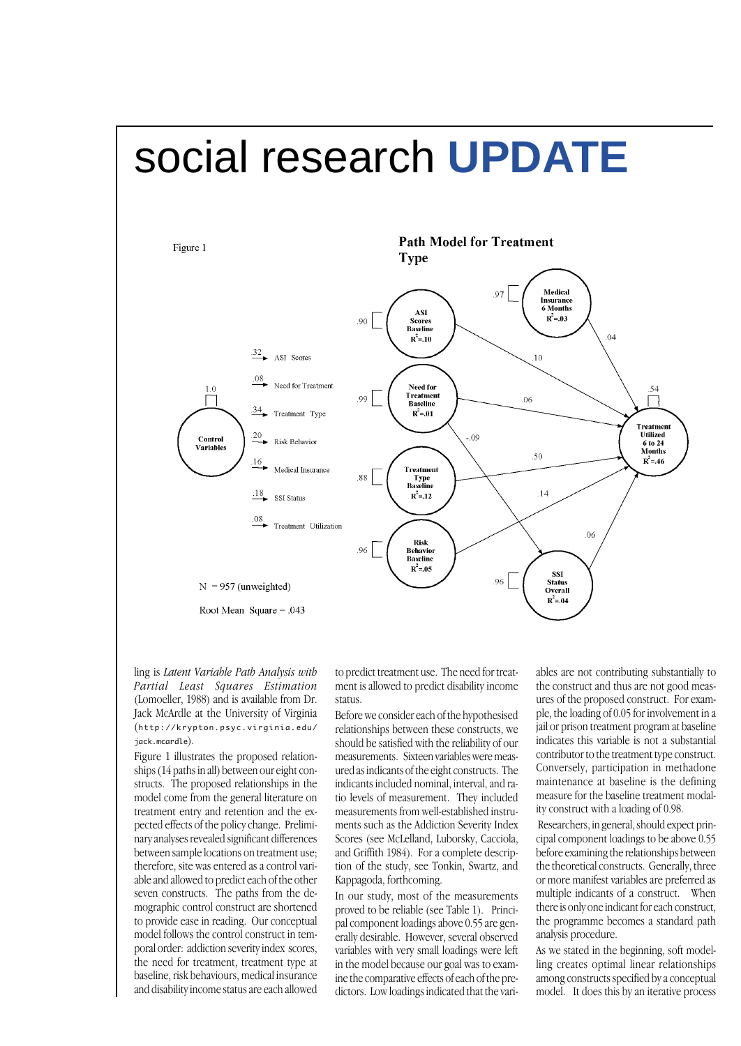# social research **UPDATE**



ling is *Latent Variable Path Analysis with Partial Least Squares Estimation* (Lomoeller, 1988) and is available from Dr. Jack McArdle at the University of Virginia (http://krypton.psyc.virginia.edu/ jack.mcardle).

Figure 1 illustrates the proposed relationships (14 paths in all) between our eight constructs. The proposed relationships in the model come from the general literature on treatment entry and retention and the expected effects of the policy change. Preliminary analyses revealed significant differences between sample locations on treatment use; therefore, site was entered as a control variable and allowed to predict each of the other seven constructs. The paths from the demographic control construct are shortened to provide ease in reading. Our conceptual model follows the control construct in temporal order: addiction severity index scores, the need for treatment, treatment type at baseline, risk behaviours, medical insurance and disability income status are each allowed to predict treatment use. The need for treatment is allowed to predict disability income status.

Before we consider each of the hypothesised relationships between these constructs, we should be satisfied with the reliability of our measurements. Sixteen variables were measured as indicants of the eight constructs. The indicants included nominal, interval, and ratio levels of measurement. They included measurements from well-established instruments such as the Addiction Severity Index Scores (see McLelland, Luborsky, Cacciola, and Griffith 1984). For a complete description of the study, see Tonkin, Swartz, and Kappagoda, forthcoming.

In our study, most of the measurements proved to be reliable (see Table 1). Principal component loadings above 0.55 are generally desirable. However, several observed variables with very small loadings were left in the model because our goal was to examine the comparative effects of each of the predictors. Low loadings indicated that the variables are not contributing substantially to the construct and thus are not good measures of the proposed construct. For example, the loading of 0.05 for involvement in a jail or prison treatment program at baseline indicates this variable is not a substantial contributor to the treatment type construct. Conversely, participation in methadone maintenance at baseline is the defining measure for the baseline treatment modality construct with a loading of 0.98.

 Researchers, in general, should expect principal component loadings to be above 0.55 before examining the relationships between the theoretical constructs. Generally, three or more manifest variables are preferred as multiple indicants of a construct. When there is only one indicant for each construct, the programme becomes a standard path analysis procedure.

As we stated in the beginning, soft modelling creates optimal linear relationships among constructs specified by a conceptual model. It does this by an iterative process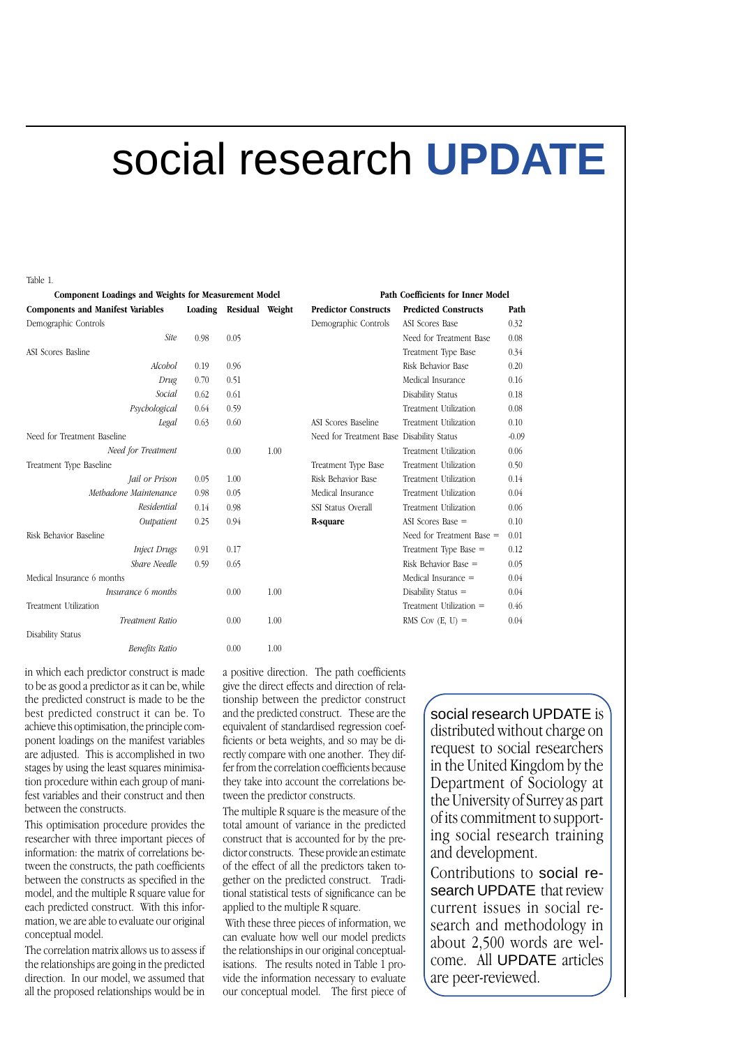# social research **UPDATE**

#### Table 1.

| Component Loadings and Weights for Measurement Model |      |                         |      | Path Coefficients for Inner Model         |                             |         |
|------------------------------------------------------|------|-------------------------|------|-------------------------------------------|-----------------------------|---------|
| <b>Components and Manifest Variables</b>             |      | Loading Residual Weight |      | <b>Predictor Constructs</b>               | <b>Predicted Constructs</b> | Path    |
| Demographic Controls                                 |      |                         |      | Demographic Controls                      | ASI Scores Base             | 0.32    |
| <b>Site</b>                                          | 0.98 | 0.05                    |      |                                           | Need for Treatment Base     | 0.08    |
| <b>ASI Scores Basline</b>                            |      |                         |      |                                           | Treatment Type Base         | 0.34    |
| Alcobol                                              | 0.19 | 0.96                    |      |                                           | Risk Behavior Base          | 0.20    |
| Drug                                                 | 0.70 | 0.51                    |      |                                           | Medical Insurance           | 0.16    |
| Social                                               | 0.62 | 0.61                    |      |                                           | Disability Status           | 0.18    |
| Psychological                                        | 0.64 | 0.59                    |      |                                           | Treatment Utilization       | 0.08    |
| Legal                                                | 0.63 | 0.60                    |      | ASI Scores Baseline                       | Treatment Utilization       | 0.10    |
| Need for Treatment Baseline                          |      |                         |      | Need for Treatment Base Disability Status |                             | $-0.09$ |
| Need for Treatment                                   |      | 0.00                    | 1.00 |                                           | Treatment Utilization       | 0.06    |
| Treatment Type Baseline                              |      |                         |      | Treatment Type Base                       | Treatment Utilization       | 0.50    |
| <i>Jail or Prison</i>                                | 0.05 | 1.00                    |      | Risk Behavior Base                        | Treatment Utilization       | 0.14    |
| Methadone Maintenance                                | 0.98 | 0.05                    |      | Medical Insurance                         | Treatment Utilization       | 0.04    |
| Residential                                          | 0.14 | 0.98                    |      | SSI Status Overall                        | Treatment Utilization       | 0.06    |
| Outpatient                                           | 0.25 | 0.94                    |      | R-square                                  | ASI Scores Base $=$         | 0.10    |
| Risk Behavior Baseline                               |      |                         |      |                                           | Need for Treatment Base =   | 0.01    |
| <b>Inject Drugs</b>                                  | 0.91 | 0.17                    |      |                                           | Treatment Type Base =       | 0.12    |
| Share Needle                                         | 0.59 | 0.65                    |      |                                           | Risk Behavior Base $=$      | 0.05    |
| Medical Insurance 6 months                           |      |                         |      |                                           | Medical Insurance =         | 0.04    |
| Insurance 6 months                                   |      | 0.00                    | 1.00 |                                           | Disability Status $=$       | 0.04    |
| Treatment Utilization                                |      |                         |      |                                           | Treatment Utilization =     | 0.46    |
| <b>Treatment Ratio</b>                               |      | 0.00                    | 1.00 |                                           | RMS Cov $(E, U) =$          | 0.04    |
| Disability Status                                    |      |                         |      |                                           |                             |         |
| <b>Benefits Ratio</b>                                |      | 0.00                    | 1.00 |                                           |                             |         |
|                                                      |      |                         |      |                                           |                             |         |

in which each predictor construct is made to be as good a predictor as it can be, while the predicted construct is made to be the best predicted construct it can be. To achieve this optimisation, the principle component loadings on the manifest variables are adjusted. This is accomplished in two stages by using the least squares minimisation procedure within each group of manifest variables and their construct and then between the constructs.

This optimisation procedure provides the researcher with three important pieces of information: the matrix of correlations between the constructs, the path coefficients between the constructs as specified in the model, and the multiple R square value for each predicted construct. With this information, we are able to evaluate our original conceptual model.

The correlation matrix allows us to assess if the relationships are going in the predicted direction. In our model, we assumed that all the proposed relationships would be in

a positive direction. The path coefficients give the direct effects and direction of relationship between the predictor construct and the predicted construct. These are the equivalent of standardised regression coefficients or beta weights, and so may be directly compare with one another. They differ from the correlation coefficients because they take into account the correlations between the predictor constructs.

The multiple R square is the measure of the total amount of variance in the predicted construct that is accounted for by the predictor constructs. These provide an estimate of the effect of all the predictors taken together on the predicted construct. Traditional statistical tests of significance can be applied to the multiple R square.

 With these three pieces of information, we can evaluate how well our model predicts the relationships in our original conceptualisations. The results noted in Table 1 provide the information necessary to evaluate our conceptual model. The first piece of

social research UPDATE is distributed without charge on request to social researchers in the United Kingdom by the Department of Sociology at the University of Surrey as part of its commitment to supporting social research training and development.

Contributions to social research UPDATE that review current issues in social research and methodology in about 2,500 words are welcome. All UPDATE articles are peer-reviewed.